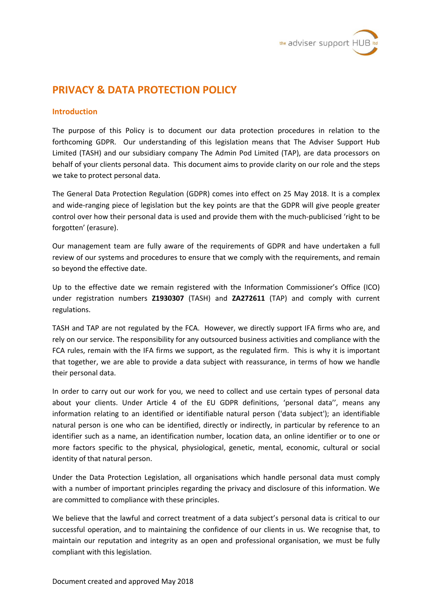

# **PRIVACY & DATA PROTECTION POLICY**

### **Introduction**

The purpose of this Policy is to document our data protection procedures in relation to the forthcoming GDPR. Our understanding of this legislation means that The Adviser Support Hub Limited (TASH) and our subsidiary company The Admin Pod Limited (TAP), are data processors on behalf of your clients personal data. This document aims to provide clarity on our role and the steps we take to protect personal data.

The General Data Protection Regulation (GDPR) comes into effect on 25 May 2018. It is a complex and wide-ranging piece of legislation but the key points are that the GDPR will give people greater control over how their personal data is used and provide them with the much-publicised 'right to be forgotten' (erasure).

Our management team are fully aware of the requirements of GDPR and have undertaken a full review of our systems and procedures to ensure that we comply with the requirements, and remain so beyond the effective date.

Up to the effective date we remain registered with the Information Commissioner's Office (ICO) under registration numbers **Z1930307** (TASH) and **ZA272611** (TAP) and comply with current regulations.

TASH and TAP are not regulated by the FCA. However, we directly support IFA firms who are, and rely on our service. The responsibility for any outsourced business activities and compliance with the FCA rules, remain with the IFA firms we support, as the regulated firm. This is why it is important that together, we are able to provide a data subject with reassurance, in terms of how we handle their personal data.

In order to carry out our work for you, we need to collect and use certain types of personal data about your clients. Under Article 4 of the EU GDPR definitions, 'personal data'', means any information relating to an identified or identifiable natural person ('data subject'); an identifiable natural person is one who can be identified, directly or indirectly, in particular by reference to an identifier such as a name, an identification number, location data, an online identifier or to one or more factors specific to the physical, physiological, genetic, mental, economic, cultural or social identity of that natural person.

Under the Data Protection Legislation, all organisations which handle personal data must comply with a number of important principles regarding the privacy and disclosure of this information. We are committed to compliance with these principles.

We believe that the lawful and correct treatment of a data subject's personal data is critical to our successful operation, and to maintaining the confidence of our clients in us. We recognise that, to maintain our reputation and integrity as an open and professional organisation, we must be fully compliant with this legislation.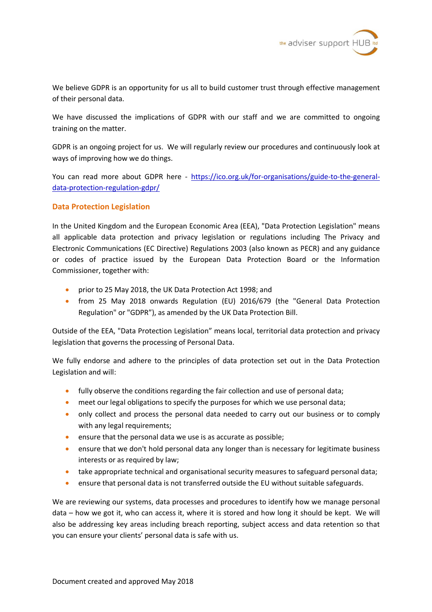

We believe GDPR is an opportunity for us all to build customer trust through effective management of their personal data.

We have discussed the implications of GDPR with our staff and we are committed to ongoing training on the matter.

GDPR is an ongoing project for us. We will regularly review our procedures and continuously look at ways of improving how we do things.

You can read more about GDPR here - https://ico.org.uk/for-organisations/guide-to-the-generaldata-protection-regulation-gdpr/

### **Data Protection Legislation**

In the United Kingdom and the European Economic Area (EEA), "Data Protection Legislation" means all applicable data protection and privacy legislation or regulations including The Privacy and Electronic Communications (EC Directive) Regulations 2003 (also known as PECR) and any guidance or codes of practice issued by the European Data Protection Board or the Information Commissioner, together with:

- prior to 25 May 2018, the UK Data Protection Act 1998; and
- from 25 May 2018 onwards Regulation (EU) 2016/679 (the "General Data Protection Regulation" or "GDPR"), as amended by the UK Data Protection Bill.

Outside of the EEA, "Data Protection Legislation" means local, territorial data protection and privacy legislation that governs the processing of Personal Data.

We fully endorse and adhere to the principles of data protection set out in the Data Protection Legislation and will:

- **•** fully observe the conditions regarding the fair collection and use of personal data;
- meet our legal obligations to specify the purposes for which we use personal data;
- only collect and process the personal data needed to carry out our business or to comply with any legal requirements;
- ensure that the personal data we use is as accurate as possible;
- ensure that we don't hold personal data any longer than is necessary for legitimate business interests or as required by law;
- take appropriate technical and organisational security measures to safeguard personal data;
- ensure that personal data is not transferred outside the EU without suitable safeguards.

We are reviewing our systems, data processes and procedures to identify how we manage personal data – how we got it, who can access it, where it is stored and how long it should be kept. We will also be addressing key areas including breach reporting, subject access and data retention so that you can ensure your clients' personal data is safe with us.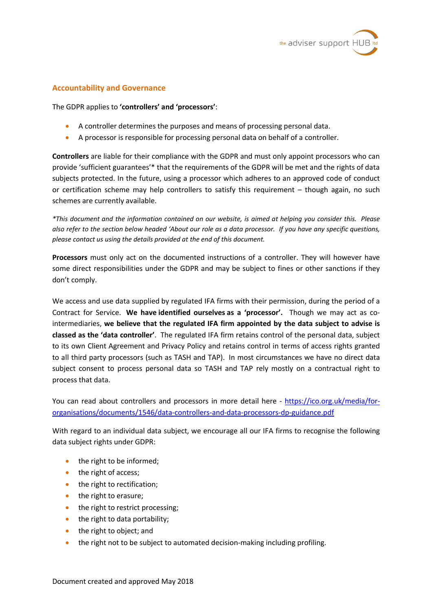

### **Accountability and Governance**

The GDPR applies to **'controllers' and 'processors'**:

- A controller determines the purposes and means of processing personal data.
- A processor is responsible for processing personal data on behalf of a controller.

**Controllers** are liable for their compliance with the GDPR and must only appoint processors who can provide 'sufficient guarantees'\* that the requirements of the GDPR will be met and the rights of data subjects protected. In the future, using a processor which adheres to an approved code of conduct or certification scheme may help controllers to satisfy this requirement – though again, no such schemes are currently available.

*\*This document and the information contained on our website, is aimed at helping you consider this. Please also refer to the section below headed 'About our role as a data processor. If you have any specific questions, please contact us using the details provided at the end of this document.*

**Processors** must only act on the documented instructions of a controller. They will however have some direct responsibilities under the GDPR and may be subject to fines or other sanctions if they don't comply.

We access and use data supplied by regulated IFA firms with their permission, during the period of a Contract for Service. **We have identified ourselves as a 'processor'.** Though we may act as cointermediaries, **we believe that the regulated IFA firm appointed by the data subject to advise is classed as the 'data controller'**. The regulated IFA firm retains control of the personal data, subject to its own Client Agreement and Privacy Policy and retains control in terms of access rights granted to all third party processors (such as TASH and TAP). In most circumstances we have no direct data subject consent to process personal data so TASH and TAP rely mostly on a contractual right to process that data.

You can read about controllers and processors in more detail here - https://ico.org.uk/media/fororganisations/documents/1546/data-controllers-and-data-processors-dp-guidance.pdf

With regard to an individual data subject, we encourage all our IFA firms to recognise the following data subject rights under GDPR:

- the right to be informed;
- the right of access;
- the right to rectification;
- the right to erasure;
- the right to restrict processing;
- $\bullet$  the right to data portability;
- the right to object; and
- the right not to be subject to automated decision-making including profiling.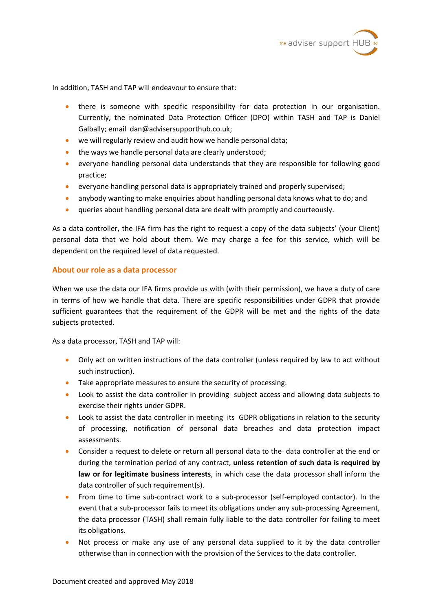

In addition, TASH and TAP will endeavour to ensure that:

- there is someone with specific responsibility for data protection in our organisation. Currently, the nominated Data Protection Officer (DPO) within TASH and TAP is Daniel Galbally; email dan@advisersupporthub.co.uk;
- we will regularly review and audit how we handle personal data;
- the ways we handle personal data are clearly understood;
- everyone handling personal data understands that they are responsible for following good practice;
- everyone handling personal data is appropriately trained and properly supervised;
- anybody wanting to make enquiries about handling personal data knows what to do; and
- queries about handling personal data are dealt with promptly and courteously.

As a data controller, the IFA firm has the right to request a copy of the data subjects' (your Client) personal data that we hold about them. We may charge a fee for this service, which will be dependent on the required level of data requested.

### **About our role as a data processor**

When we use the data our IFA firms provide us with (with their permission), we have a duty of care in terms of how we handle that data. There are specific responsibilities under GDPR that provide sufficient guarantees that the requirement of the GDPR will be met and the rights of the data subjects protected.

As a data processor, TASH and TAP will:

- Only act on written instructions of the data controller (unless required by law to act without such instruction).
- Take appropriate measures to ensure the security of processing.
- Look to assist the data controller in providing subject access and allowing data subjects to exercise their rights under GDPR.
- Look to assist the data controller in meeting its GDPR obligations in relation to the security of processing, notification of personal data breaches and data protection impact assessments.
- Consider a request to delete or return all personal data to the data controller at the end or during the termination period of any contract, **unless retention of such data is required by law or for legitimate business interests**, in which case the data processor shall inform the data controller of such requirement(s).
- From time to time sub-contract work to a sub-processor (self-employed contactor). In the event that a sub-processor fails to meet its obligations under any sub-processing Agreement, the data processor (TASH) shall remain fully liable to the data controller for failing to meet its obligations.
- Not process or make any use of any personal data supplied to it by the data controller otherwise than in connection with the provision of the Services to the data controller.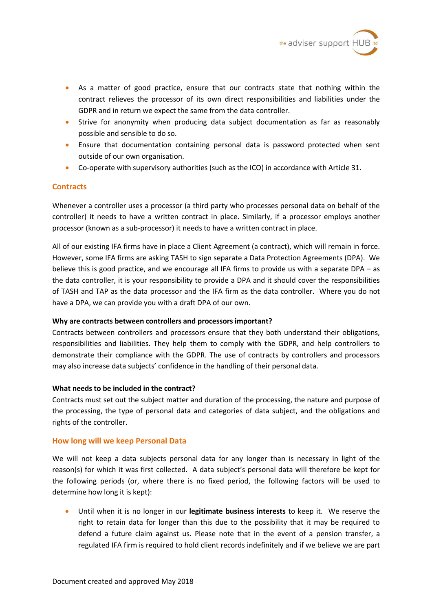

- As a matter of good practice, ensure that our contracts state that nothing within the contract relieves the processor of its own direct responsibilities and liabilities under the GDPR and in return we expect the same from the data controller.
- Strive for anonymity when producing data subject documentation as far as reasonably possible and sensible to do so.
- Ensure that documentation containing personal data is password protected when sent outside of our own organisation.
- Co-operate with supervisory authorities (such as the ICO) in accordance with Article 31.

### **Contracts**

Whenever a controller uses a processor (a third party who processes personal data on behalf of the controller) it needs to have a written contract in place. Similarly, if a processor employs another processor (known as a sub-processor) it needs to have a written contract in place.

All of our existing IFA firms have in place a Client Agreement (a contract), which will remain in force. However, some IFA firms are asking TASH to sign separate a Data Protection Agreements (DPA). We believe this is good practice, and we encourage all IFA firms to provide us with a separate DPA – as the data controller, it is your responsibility to provide a DPA and it should cover the responsibilities of TASH and TAP as the data processor and the IFA firm as the data controller. Where you do not have a DPA, we can provide you with a draft DPA of our own.

### **Why are contracts between controllers and processors important?**

Contracts between controllers and processors ensure that they both understand their obligations, responsibilities and liabilities. They help them to comply with the GDPR, and help controllers to demonstrate their compliance with the GDPR. The use of contracts by controllers and processors may also increase data subjects' confidence in the handling of their personal data.

### **What needs to be included in the contract?**

Contracts must set out the subject matter and duration of the processing, the nature and purpose of the processing, the type of personal data and categories of data subject, and the obligations and rights of the controller.

# **How long will we keep Personal Data**

We will not keep a data subjects personal data for any longer than is necessary in light of the reason(s) for which it was first collected. A data subject's personal data will therefore be kept for the following periods (or, where there is no fixed period, the following factors will be used to determine how long it is kept):

 Until when it is no longer in our **legitimate business interests** to keep it. We reserve the right to retain data for longer than this due to the possibility that it may be required to defend a future claim against us. Please note that in the event of a pension transfer, a regulated IFA firm is required to hold client records indefinitely and if we believe we are part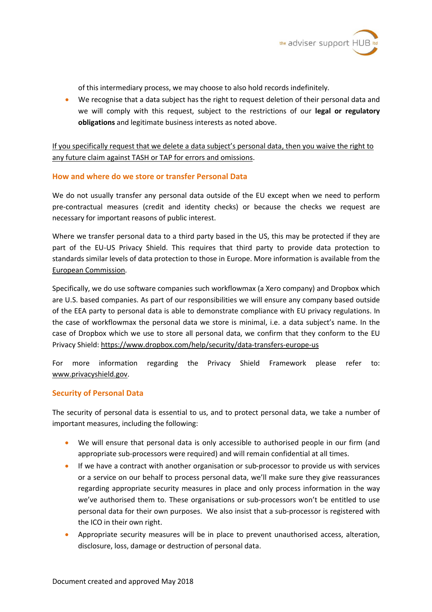

of this intermediary process, we may choose to also hold records indefinitely.

 We recognise that a data subject has the right to request deletion of their personal data and we will comply with this request, subject to the restrictions of our **legal or regulatory obligations** and legitimate business interests as noted above.

If you specifically request that we delete a data subject's personal data, then you waive the right to any future claim against TASH or TAP for errors and omissions.

# **How and where do we store or transfer Personal Data**

We do not usually transfer any personal data outside of the EU except when we need to perform pre-contractual measures (credit and identity checks) or because the checks we request are necessary for important reasons of public interest.

Where we transfer personal data to a third party based in the US, this may be protected if they are part of the EU-US Privacy Shield. This requires that third party to provide data protection to standards similar levels of data protection to those in Europe. More information is available from the European Commission.

Specifically, we do use software companies such workflowmax (a Xero company) and Dropbox which are U.S. based companies. As part of our responsibilities we will ensure any company based outside of the EEA party to personal data is able to demonstrate compliance with EU privacy regulations. In the case of workflowmax the personal data we store is minimal, i.e. a data subject's name. In the case of Dropbox which we use to store all personal data, we confirm that they conform to the EU Privacy Shield: https://www.dropbox.com/help/security/data-transfers-europe-us

For more information regarding the Privacy Shield Framework please refer to: [www.privacyshield.gov.](www.privacyshield.gov)

# **Security of Personal Data**

The security of personal data is essential to us, and to protect personal data, we take a number of important measures, including the following:

- We will ensure that personal data is only accessible to authorised people in our firm (and appropriate sub-processors were required) and will remain confidential at all times.
- If we have a contract with another organisation or sub-processor to provide us with services or a service on our behalf to process personal data, we'll make sure they give reassurances regarding appropriate security measures in place and only process information in the way we've authorised them to. These organisations or sub-processors won't be entitled to use personal data for their own purposes. We also insist that a sub-processor is registered with the ICO in their own right.
- Appropriate security measures will be in place to prevent unauthorised access, alteration, disclosure, loss, damage or destruction of personal data.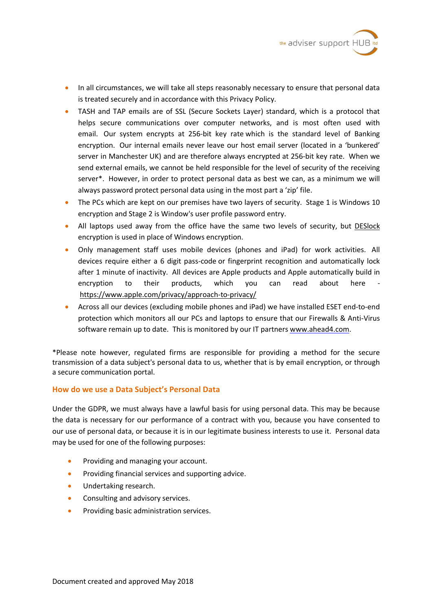

- In all circumstances, we will take all steps reasonably necessary to ensure that personal data is treated securely and in accordance with this Privacy Policy.
- TASH and TAP emails are of SSL (Secure Sockets Layer) standard, which is a protocol that helps secure communications over computer networks, and is most often used with email. Our system encrypts at 256-bit key rate which is the standard level of Banking encryption. Our internal emails never leave our host email server (located in a 'bunkered' server in Manchester UK) and are therefore always encrypted at 256-bit key rate. When we send external emails, we cannot be held responsible for the level of security of the receiving server\*. However, in order to protect personal data as best we can, as a minimum we will always password protect personal data using in the most part a 'zip' file.
- The PCs which are kept on our premises have two layers of security. Stage 1 is Windows 10 encryption and Stage 2 is Window's user profile password entry.
- All laptops used away from the office have the same two levels of security, but DESlock encryption is used in place of Windows encryption.
- Only management staff uses mobile devices (phones and iPad) for work activities. All devices require either a 6 digit pass-code or fingerprint recognition and automatically lock after 1 minute of inactivity. All devices are Apple products and Apple automatically build in encryption to their products, which you can read about here [https://www.apple.com/privacy/approach-](https://www.apple.com/privacy/approach)to-privacy/
- Across all our devices (excluding mobile phones and iPad) we have installed ESET end-to-end protection which monitors all our PCs and laptops to ensure that our Firewalls & Anti-Virus software remain up to date. This is monitored by our IT partners<www.ahead4.com>.

\*Please note however, regulated firms are responsible for providing a method for the secure transmission of a data subject's personal data to us, whether that is by email encryption, or through a secure communication portal.

### **How do we use a Data Subject's Personal Data**

Under the GDPR, we must always have a lawful basis for using personal data. This may be because the data is necessary for our performance of a contract with you, because you have consented to our use of personal data, or because it is in our legitimate business interests to use it. Personal data may be used for one of the following purposes:

- Providing and managing your account.
- Providing financial services and supporting advice.
- Undertaking research.
- Consulting and advisory services.
- Providing basic administration services.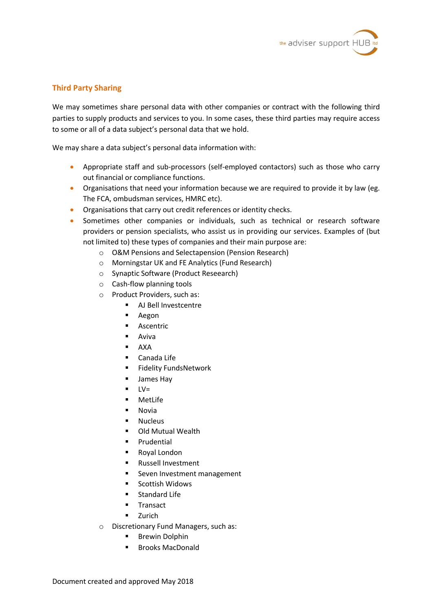

# **Third Party Sharing**

We may sometimes share personal data with other companies or contract with the following third parties to supply products and services to you. In some cases, these third parties may require access to some or all of a data subject's personal data that we hold.

We may share a data subject's personal data information with:

- Appropriate staff and sub-processors (self-employed contactors) such as those who carry out financial or compliance functions.
- Organisations that need your information because we are required to provide it by law (eg. The FCA, ombudsman services, HMRC etc).
- **•** Organisations that carry out credit references or identity checks.
- Sometimes other companies or individuals, such as technical or research software providers or pension specialists, who assist us in providing our services. Examples of (but not limited to) these types of companies and their main purpose are:
	- o O&M Pensions and Selectapension (Pension Research)
	- o Morningstar UK and FE Analytics (Fund Research)
	- o Synaptic Software (Product Reseearch)
	- o Cash-flow planning tools
	- o Product Providers, such as:
		- AJ Bell Investcentre
		- Aegon
		- **Ascentric**
		- **Aviva**
		- AXA
		- Canada Life
		- **Fidelity FundsNetwork**
		- **James Hay**
		- $\blacksquare$   $\blacksquare$   $\blacksquare$
		- MetLife
		- Novia
		- Nucleus
		- Old Mutual Wealth
		- **Prudential**
		- Royal London
		- **Russell Investment**
		- Seven Investment management
		- Scottish Widows
		- **Standard Life**
		- **Transact**
		- **E** Zurich
	- o Discretionary Fund Managers, such as:
		- **Brewin Dolphin**
		- Brooks MacDonald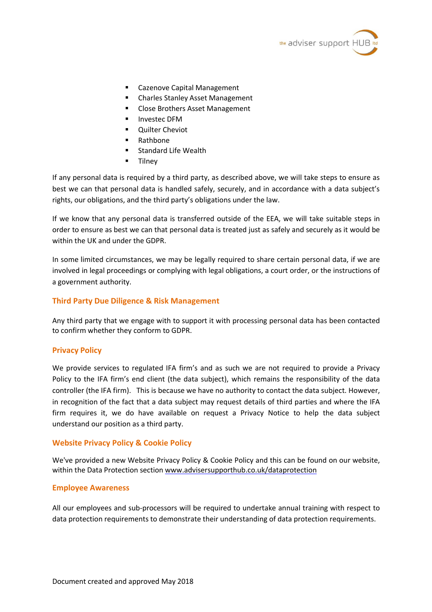

- Cazenove Capital Management
- Charles Stanley Asset Management
- Close Brothers Asset Management
- Investec DFM
- Quilter Cheviot
- Rathbone
- Standard Life Wealth
- Tilney

If any personal data is required by a third party, as described above, we will take steps to ensure as best we can that personal data is handled safely, securely, and in accordance with a data subject's rights, our obligations, and the third party's obligations under the law.

If we know that any personal data is transferred outside of the EEA, we will take suitable steps in order to ensure as best we can that personal data is treated just as safely and securely as it would be within the UK and under the GDPR.

In some limited circumstances, we may be legally required to share certain personal data, if we are involved in legal proceedings or complying with legal obligations, a court order, or the instructions of a government authority.

# **Third Party Due Diligence & Risk Management**

Any third party that we engage with to support it with processing personal data has been contacted to confirm whether they conform to GDPR.

### **Privacy Policy**

We provide services to regulated IFA firm's and as such we are not required to provide a Privacy Policy to the IFA firm's end client (the data subject), which remains the responsibility of the data controller (the IFA firm). This is because we have no authority to contact the data subject. However, in recognition of the fact that a data subject may request details of third parties and where the IFA firm requires it, we do have available on request a Privacy Notice to help the data subject understand our position as a third party.

### **Website Privacy Policy & Cookie Policy**

We've provided a new Website Privacy Policy & Cookie Policy and this can be found on our website, within the Data Protection section<www.advisersupporthub.co.uk/dataprotection>

### **Employee Awareness**

All our employees and sub-processors will be required to undertake annual training with respect to data protection requirements to demonstrate their understanding of data protection requirements.